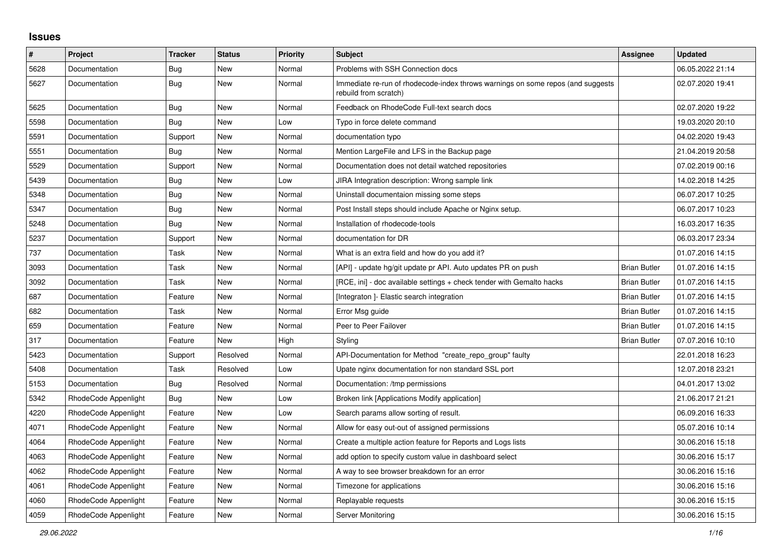## **Issues**

| $\sharp$ | <b>Project</b>       | <b>Tracker</b> | <b>Status</b> | <b>Priority</b> | <b>Subject</b>                                                                                           | Assignee            | <b>Updated</b>   |
|----------|----------------------|----------------|---------------|-----------------|----------------------------------------------------------------------------------------------------------|---------------------|------------------|
| 5628     | Documentation        | Bug            | <b>New</b>    | Normal          | Problems with SSH Connection docs                                                                        |                     | 06.05.2022 21:14 |
| 5627     | Documentation        | Bug            | New           | Normal          | Immediate re-run of rhodecode-index throws warnings on some repos (and suggests<br>rebuild from scratch) |                     | 02.07.2020 19:41 |
| 5625     | Documentation        | <b>Bug</b>     | New           | Normal          | Feedback on RhodeCode Full-text search docs                                                              |                     | 02.07.2020 19:22 |
| 5598     | Documentation        | Bug            | New           | Low             | Typo in force delete command                                                                             |                     | 19.03.2020 20:10 |
| 5591     | Documentation        | Support        | New           | Normal          | documentation typo                                                                                       |                     | 04.02.2020 19:43 |
| 5551     | Documentation        | Bug            | New           | Normal          | Mention LargeFile and LFS in the Backup page                                                             |                     | 21.04.2019 20:58 |
| 5529     | Documentation        | Support        | New           | Normal          | Documentation does not detail watched repositories                                                       |                     | 07.02.2019 00:16 |
| 5439     | Documentation        | Bug            | New           | Low             | JIRA Integration description: Wrong sample link                                                          |                     | 14.02.2018 14:25 |
| 5348     | Documentation        | Bug            | New           | Normal          | Uninstall documentaion missing some steps                                                                |                     | 06.07.2017 10:25 |
| 5347     | Documentation        | <b>Bug</b>     | New           | Normal          | Post Install steps should include Apache or Nginx setup.                                                 |                     | 06.07.2017 10:23 |
| 5248     | Documentation        | Bug            | New           | Normal          | Installation of rhodecode-tools                                                                          |                     | 16.03.2017 16:35 |
| 5237     | Documentation        | Support        | New           | Normal          | documentation for DR                                                                                     |                     | 06.03.2017 23:34 |
| 737      | Documentation        | Task           | New           | Normal          | What is an extra field and how do you add it?                                                            |                     | 01.07.2016 14:15 |
| 3093     | Documentation        | Task           | New           | Normal          | [API] - update hg/git update pr API. Auto updates PR on push                                             | <b>Brian Butler</b> | 01.07.2016 14:15 |
| 3092     | Documentation        | Task           | <b>New</b>    | Normal          | [RCE, ini] - doc available settings + check tender with Gemalto hacks                                    | <b>Brian Butler</b> | 01.07.2016 14:15 |
| 687      | Documentation        | Feature        | <b>New</b>    | Normal          | [Integraton ]- Elastic search integration                                                                | <b>Brian Butler</b> | 01.07.2016 14:15 |
| 682      | Documentation        | Task           | New           | Normal          | Error Msg guide                                                                                          | <b>Brian Butler</b> | 01.07.2016 14:15 |
| 659      | Documentation        | Feature        | New           | Normal          | Peer to Peer Failover                                                                                    | <b>Brian Butler</b> | 01.07.2016 14:15 |
| 317      | Documentation        | Feature        | New           | High            | Styling                                                                                                  | <b>Brian Butler</b> | 07.07.2016 10:10 |
| 5423     | Documentation        | Support        | Resolved      | Normal          | API-Documentation for Method "create repo group" faulty                                                  |                     | 22.01.2018 16:23 |
| 5408     | Documentation        | Task           | Resolved      | Low             | Upate nginx documentation for non standard SSL port                                                      |                     | 12.07.2018 23:21 |
| 5153     | Documentation        | Bug            | Resolved      | Normal          | Documentation: /tmp permissions                                                                          |                     | 04.01.2017 13:02 |
| 5342     | RhodeCode Appenlight | Bug            | New           | Low             | Broken link [Applications Modify application]                                                            |                     | 21.06.2017 21:21 |
| 4220     | RhodeCode Appenlight | Feature        | New           | Low             | Search params allow sorting of result.                                                                   |                     | 06.09.2016 16:33 |
| 4071     | RhodeCode Appenlight | Feature        | New           | Normal          | Allow for easy out-out of assigned permissions                                                           |                     | 05.07.2016 10:14 |
| 4064     | RhodeCode Appenlight | Feature        | New           | Normal          | Create a multiple action feature for Reports and Logs lists                                              |                     | 30.06.2016 15:18 |
| 4063     | RhodeCode Appenlight | Feature        | New           | Normal          | add option to specify custom value in dashboard select                                                   |                     | 30.06.2016 15:17 |
| 4062     | RhodeCode Appenlight | Feature        | New           | Normal          | A way to see browser breakdown for an error                                                              |                     | 30.06.2016 15:16 |
| 4061     | RhodeCode Appenlight | Feature        | <b>New</b>    | Normal          | Timezone for applications                                                                                |                     | 30.06.2016 15:16 |
| 4060     | RhodeCode Appenlight | Feature        | <b>New</b>    | Normal          | Replayable requests                                                                                      |                     | 30.06.2016 15:15 |
| 4059     | RhodeCode Appenlight | Feature        | New           | Normal          | Server Monitoring                                                                                        |                     | 30.06.2016 15:15 |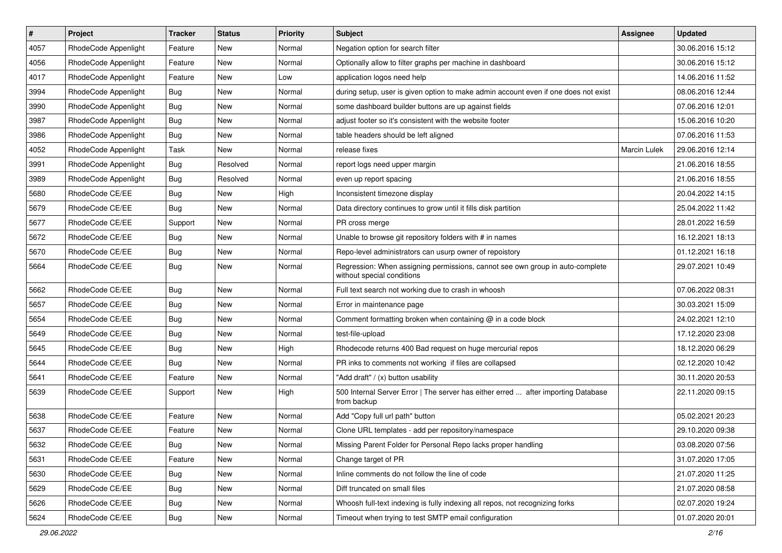| $\vert$ # | Project              | <b>Tracker</b> | <b>Status</b> | Priority | <b>Subject</b>                                                                                              | <b>Assignee</b>     | <b>Updated</b>   |
|-----------|----------------------|----------------|---------------|----------|-------------------------------------------------------------------------------------------------------------|---------------------|------------------|
| 4057      | RhodeCode Appenlight | Feature        | New           | Normal   | Negation option for search filter                                                                           |                     | 30.06.2016 15:12 |
| 4056      | RhodeCode Appenlight | Feature        | <b>New</b>    | Normal   | Optionally allow to filter graphs per machine in dashboard                                                  |                     | 30.06.2016 15:12 |
| 4017      | RhodeCode Appenlight | Feature        | New           | Low      | application logos need help                                                                                 |                     | 14.06.2016 11:52 |
| 3994      | RhodeCode Appenlight | Bug            | New           | Normal   | during setup, user is given option to make admin account even if one does not exist                         |                     | 08.06.2016 12:44 |
| 3990      | RhodeCode Appenlight | Bug            | New           | Normal   | some dashboard builder buttons are up against fields                                                        |                     | 07.06.2016 12:01 |
| 3987      | RhodeCode Appenlight | <b>Bug</b>     | New           | Normal   | adjust footer so it's consistent with the website footer                                                    |                     | 15.06.2016 10:20 |
| 3986      | RhodeCode Appenlight | Bug            | New           | Normal   | table headers should be left aligned                                                                        |                     | 07.06.2016 11:53 |
| 4052      | RhodeCode Appenlight | Task           | New           | Normal   | release fixes                                                                                               | <b>Marcin Lulek</b> | 29.06.2016 12:14 |
| 3991      | RhodeCode Appenlight | Bug            | Resolved      | Normal   | report logs need upper margin                                                                               |                     | 21.06.2016 18:55 |
| 3989      | RhodeCode Appenlight | Bug            | Resolved      | Normal   | even up report spacing                                                                                      |                     | 21.06.2016 18:55 |
| 5680      | RhodeCode CE/EE      | <b>Bug</b>     | New           | High     | Inconsistent timezone display                                                                               |                     | 20.04.2022 14:15 |
| 5679      | RhodeCode CE/EE      | Bug            | New           | Normal   | Data directory continues to grow until it fills disk partition                                              |                     | 25.04.2022 11:42 |
| 5677      | RhodeCode CE/EE      | Support        | <b>New</b>    | Normal   | PR cross merge                                                                                              |                     | 28.01.2022 16:59 |
| 5672      | RhodeCode CE/EE      | Bug            | New           | Normal   | Unable to browse git repository folders with # in names                                                     |                     | 16.12.2021 18:13 |
| 5670      | RhodeCode CE/EE      | Bug            | New           | Normal   | Repo-level administrators can usurp owner of repoistory                                                     |                     | 01.12.2021 16:18 |
| 5664      | RhodeCode CE/EE      | Bug            | New           | Normal   | Regression: When assigning permissions, cannot see own group in auto-complete<br>without special conditions |                     | 29.07.2021 10:49 |
| 5662      | RhodeCode CE/EE      | Bug            | New           | Normal   | Full text search not working due to crash in whoosh                                                         |                     | 07.06.2022 08:31 |
| 5657      | RhodeCode CE/EE      | <b>Bug</b>     | New           | Normal   | Error in maintenance page                                                                                   |                     | 30.03.2021 15:09 |
| 5654      | RhodeCode CE/EE      | Bug            | New           | Normal   | Comment formatting broken when containing @ in a code block                                                 |                     | 24.02.2021 12:10 |
| 5649      | RhodeCode CE/EE      | Bug            | New           | Normal   | test-file-upload                                                                                            |                     | 17.12.2020 23:08 |
| 5645      | RhodeCode CE/EE      | Bug            | New           | High     | Rhodecode returns 400 Bad request on huge mercurial repos                                                   |                     | 18.12.2020 06:29 |
| 5644      | RhodeCode CE/EE      | Bug            | New           | Normal   | PR inks to comments not working if files are collapsed                                                      |                     | 02.12.2020 10:42 |
| 5641      | RhodeCode CE/EE      | Feature        | New           | Normal   | "Add draft" / (x) button usability                                                                          |                     | 30.11.2020 20:53 |
| 5639      | RhodeCode CE/EE      | Support        | New           | High     | 500 Internal Server Error   The server has either erred  after importing Database<br>from backup            |                     | 22.11.2020 09:15 |
| 5638      | RhodeCode CE/EE      | Feature        | New           | Normal   | Add "Copy full url path" button                                                                             |                     | 05.02.2021 20:23 |
| 5637      | RhodeCode CE/EE      | Feature        | New           | Normal   | Clone URL templates - add per repository/namespace                                                          |                     | 29.10.2020 09:38 |
| 5632      | RhodeCode CE/EE      | Bug            | New           | Normal   | Missing Parent Folder for Personal Repo lacks proper handling                                               |                     | 03.08.2020 07:56 |
| 5631      | RhodeCode CE/EE      | Feature        | New           | Normal   | Change target of PR                                                                                         |                     | 31.07.2020 17:05 |
| 5630      | RhodeCode CE/EE      | Bug            | New           | Normal   | Inline comments do not follow the line of code                                                              |                     | 21.07.2020 11:25 |
| 5629      | RhodeCode CE/EE      | <b>Bug</b>     | New           | Normal   | Diff truncated on small files                                                                               |                     | 21.07.2020 08:58 |
| 5626      | RhodeCode CE/EE      | Bug            | New           | Normal   | Whoosh full-text indexing is fully indexing all repos, not recognizing forks                                |                     | 02.07.2020 19:24 |
| 5624      | RhodeCode CE/EE      | <b>Bug</b>     | New           | Normal   | Timeout when trying to test SMTP email configuration                                                        |                     | 01.07.2020 20:01 |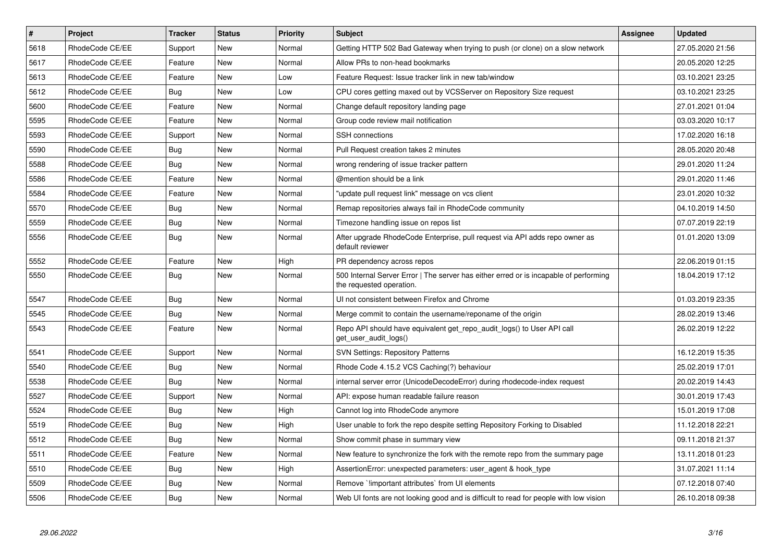| $\sharp$ | <b>Project</b>  | <b>Tracker</b> | <b>Status</b> | Priority | <b>Subject</b>                                                                                                    | <b>Assignee</b> | <b>Updated</b>   |
|----------|-----------------|----------------|---------------|----------|-------------------------------------------------------------------------------------------------------------------|-----------------|------------------|
| 5618     | RhodeCode CE/EE | Support        | <b>New</b>    | Normal   | Getting HTTP 502 Bad Gateway when trying to push (or clone) on a slow network                                     |                 | 27.05.2020 21:56 |
| 5617     | RhodeCode CE/EE | Feature        | New           | Normal   | Allow PRs to non-head bookmarks                                                                                   |                 | 20.05.2020 12:25 |
| 5613     | RhodeCode CE/EE | Feature        | New           | Low      | Feature Request: Issue tracker link in new tab/window                                                             |                 | 03.10.2021 23:25 |
| 5612     | RhodeCode CE/EE | Bug            | <b>New</b>    | Low      | CPU cores getting maxed out by VCSServer on Repository Size request                                               |                 | 03.10.2021 23:25 |
| 5600     | RhodeCode CE/EE | Feature        | New           | Normal   | Change default repository landing page                                                                            |                 | 27.01.2021 01:04 |
| 5595     | RhodeCode CE/EE | Feature        | <b>New</b>    | Normal   | Group code review mail notification                                                                               |                 | 03.03.2020 10:17 |
| 5593     | RhodeCode CE/EE | Support        | New           | Normal   | <b>SSH</b> connections                                                                                            |                 | 17.02.2020 16:18 |
| 5590     | RhodeCode CE/EE | Bug            | New           | Normal   | Pull Request creation takes 2 minutes                                                                             |                 | 28.05.2020 20:48 |
| 5588     | RhodeCode CE/EE | Bug            | <b>New</b>    | Normal   | wrong rendering of issue tracker pattern                                                                          |                 | 29.01.2020 11:24 |
| 5586     | RhodeCode CE/EE | Feature        | New           | Normal   | @mention should be a link                                                                                         |                 | 29.01.2020 11:46 |
| 5584     | RhodeCode CE/EE | Feature        | <b>New</b>    | Normal   | "update pull request link" message on vcs client                                                                  |                 | 23.01.2020 10:32 |
| 5570     | RhodeCode CE/EE | <b>Bug</b>     | <b>New</b>    | Normal   | Remap repositories always fail in RhodeCode community                                                             |                 | 04.10.2019 14:50 |
| 5559     | RhodeCode CE/EE | Bug            | <b>New</b>    | Normal   | Timezone handling issue on repos list                                                                             |                 | 07.07.2019 22:19 |
| 5556     | RhodeCode CE/EE | <b>Bug</b>     | New           | Normal   | After upgrade RhodeCode Enterprise, pull request via API adds repo owner as<br>default reviewer                   |                 | 01.01.2020 13:09 |
| 5552     | RhodeCode CE/EE | Feature        | <b>New</b>    | High     | PR dependency across repos                                                                                        |                 | 22.06.2019 01:15 |
| 5550     | RhodeCode CE/EE | <b>Bug</b>     | New           | Normal   | 500 Internal Server Error   The server has either erred or is incapable of performing<br>the requested operation. |                 | 18.04.2019 17:12 |
| 5547     | RhodeCode CE/EE | Bug            | <b>New</b>    | Normal   | UI not consistent between Firefox and Chrome                                                                      |                 | 01.03.2019 23:35 |
| 5545     | RhodeCode CE/EE | Bug            | New           | Normal   | Merge commit to contain the username/reponame of the origin                                                       |                 | 28.02.2019 13:46 |
| 5543     | RhodeCode CE/EE | Feature        | <b>New</b>    | Normal   | Repo API should have equivalent get repo audit logs() to User API call<br>get user audit logs()                   |                 | 26.02.2019 12:22 |
| 5541     | RhodeCode CE/EE | Support        | New           | Normal   | <b>SVN Settings: Repository Patterns</b>                                                                          |                 | 16.12.2019 15:35 |
| 5540     | RhodeCode CE/EE | Bug            | <b>New</b>    | Normal   | Rhode Code 4.15.2 VCS Caching(?) behaviour                                                                        |                 | 25.02.2019 17:01 |
| 5538     | RhodeCode CE/EE | <b>Bug</b>     | <b>New</b>    | Normal   | internal server error (UnicodeDecodeError) during rhodecode-index request                                         |                 | 20.02.2019 14:43 |
| 5527     | RhodeCode CE/EE | Support        | <b>New</b>    | Normal   | API: expose human readable failure reason                                                                         |                 | 30.01.2019 17:43 |
| 5524     | RhodeCode CE/EE | Bug            | New           | High     | Cannot log into RhodeCode anymore                                                                                 |                 | 15.01.2019 17:08 |
| 5519     | RhodeCode CE/EE | Bug            | <b>New</b>    | High     | User unable to fork the repo despite setting Repository Forking to Disabled                                       |                 | 11.12.2018 22:21 |
| 5512     | RhodeCode CE/EE | Bug            | <b>New</b>    | Normal   | Show commit phase in summary view                                                                                 |                 | 09.11.2018 21:37 |
| 5511     | RhodeCode CE/EE | Feature        | <b>New</b>    | Normal   | New feature to synchronize the fork with the remote repo from the summary page                                    |                 | 13.11.2018 01:23 |
| 5510     | RhodeCode CE/EE | Bug            | New           | High     | AssertionError: unexpected parameters: user_agent & hook_type                                                     |                 | 31.07.2021 11:14 |
| 5509     | RhodeCode CE/EE | Bug            | New           | Normal   | Remove `limportant attributes` from UI elements                                                                   |                 | 07.12.2018 07:40 |
| 5506     | RhodeCode CE/EE | Bug            | New           | Normal   | Web UI fonts are not looking good and is difficult to read for people with low vision                             |                 | 26.10.2018 09:38 |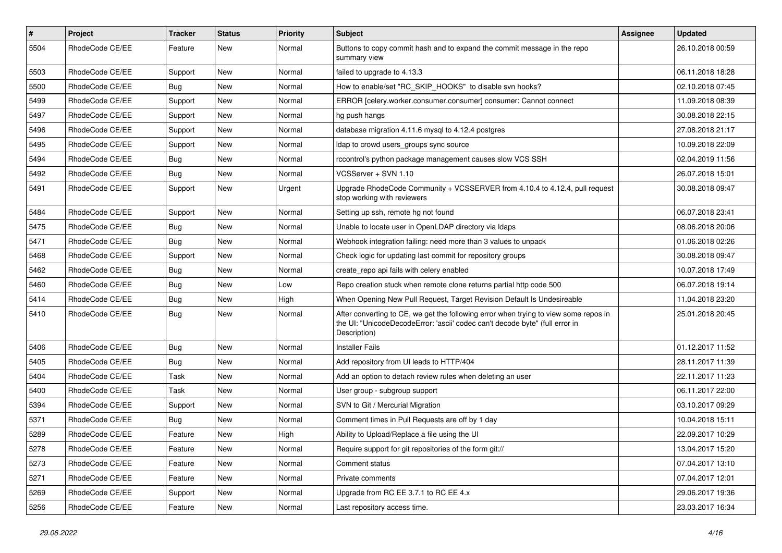| #    | <b>Project</b>  | <b>Tracker</b> | <b>Status</b> | <b>Priority</b> | <b>Subject</b>                                                                                                                                                                       | Assignee | <b>Updated</b>   |
|------|-----------------|----------------|---------------|-----------------|--------------------------------------------------------------------------------------------------------------------------------------------------------------------------------------|----------|------------------|
| 5504 | RhodeCode CE/EE | Feature        | New           | Normal          | Buttons to copy commit hash and to expand the commit message in the repo<br>summary view                                                                                             |          | 26.10.2018 00:59 |
| 5503 | RhodeCode CE/EE | Support        | New           | Normal          | failed to upgrade to 4.13.3                                                                                                                                                          |          | 06.11.2018 18:28 |
| 5500 | RhodeCode CE/EE | <b>Bug</b>     | <b>New</b>    | Normal          | How to enable/set "RC_SKIP_HOOKS" to disable svn hooks?                                                                                                                              |          | 02.10.2018 07:45 |
| 5499 | RhodeCode CE/EE | Support        | <b>New</b>    | Normal          | ERROR [celery.worker.consumer.consumer] consumer: Cannot connect                                                                                                                     |          | 11.09.2018 08:39 |
| 5497 | RhodeCode CE/EE | Support        | New           | Normal          | hg push hangs                                                                                                                                                                        |          | 30.08.2018 22:15 |
| 5496 | RhodeCode CE/EE | Support        | New           | Normal          | database migration 4.11.6 mysql to 4.12.4 postgres                                                                                                                                   |          | 27.08.2018 21:17 |
| 5495 | RhodeCode CE/EE | Support        | New           | Normal          | Idap to crowd users groups sync source                                                                                                                                               |          | 10.09.2018 22:09 |
| 5494 | RhodeCode CE/EE | <b>Bug</b>     | New           | Normal          | rccontrol's python package management causes slow VCS SSH                                                                                                                            |          | 02.04.2019 11:56 |
| 5492 | RhodeCode CE/EE | Bug            | <b>New</b>    | Normal          | VCSServer + SVN 1.10                                                                                                                                                                 |          | 26.07.2018 15:01 |
| 5491 | RhodeCode CE/EE | Support        | New           | Urgent          | Upgrade RhodeCode Community + VCSSERVER from 4.10.4 to 4.12.4, pull request<br>stop working with reviewers                                                                           |          | 30.08.2018 09:47 |
| 5484 | RhodeCode CE/EE | Support        | <b>New</b>    | Normal          | Setting up ssh, remote hg not found                                                                                                                                                  |          | 06.07.2018 23:41 |
| 5475 | RhodeCode CE/EE | Bug            | New           | Normal          | Unable to locate user in OpenLDAP directory via Idaps                                                                                                                                |          | 08.06.2018 20:06 |
| 5471 | RhodeCode CE/EE | Bug            | <b>New</b>    | Normal          | Webhook integration failing: need more than 3 values to unpack                                                                                                                       |          | 01.06.2018 02:26 |
| 5468 | RhodeCode CE/EE | Support        | New           | Normal          | Check logic for updating last commit for repository groups                                                                                                                           |          | 30.08.2018 09:47 |
| 5462 | RhodeCode CE/EE | Bug            | New           | Normal          | create_repo api fails with celery enabled                                                                                                                                            |          | 10.07.2018 17:49 |
| 5460 | RhodeCode CE/EE | Bug            | <b>New</b>    | Low             | Repo creation stuck when remote clone returns partial http code 500                                                                                                                  |          | 06.07.2018 19:14 |
| 5414 | RhodeCode CE/EE | <b>Bug</b>     | <b>New</b>    | High            | When Opening New Pull Request, Target Revision Default Is Undesireable                                                                                                               |          | 11.04.2018 23:20 |
| 5410 | RhodeCode CE/EE | Bug            | New           | Normal          | After converting to CE, we get the following error when trying to view some repos in<br>the UI: "UnicodeDecodeError: 'ascii' codec can't decode byte" (full error in<br>Description) |          | 25.01.2018 20:45 |
| 5406 | RhodeCode CE/EE | Bug            | <b>New</b>    | Normal          | <b>Installer Fails</b>                                                                                                                                                               |          | 01.12.2017 11:52 |
| 5405 | RhodeCode CE/EE | Bug            | New           | Normal          | Add repository from UI leads to HTTP/404                                                                                                                                             |          | 28.11.2017 11:39 |
| 5404 | RhodeCode CE/EE | Task           | <b>New</b>    | Normal          | Add an option to detach review rules when deleting an user                                                                                                                           |          | 22.11.2017 11:23 |
| 5400 | RhodeCode CE/EE | Task           | <b>New</b>    | Normal          | User group - subgroup support                                                                                                                                                        |          | 06.11.2017 22:00 |
| 5394 | RhodeCode CE/EE | Support        | New           | Normal          | SVN to Git / Mercurial Migration                                                                                                                                                     |          | 03.10.2017 09:29 |
| 5371 | RhodeCode CE/EE | Bug            | New           | Normal          | Comment times in Pull Requests are off by 1 day                                                                                                                                      |          | 10.04.2018 15:11 |
| 5289 | RhodeCode CE/EE | Feature        | <b>New</b>    | High            | Ability to Upload/Replace a file using the UI                                                                                                                                        |          | 22.09.2017 10:29 |
| 5278 | RhodeCode CE/EE | Feature        | New           | Normal          | Require support for git repositories of the form git://                                                                                                                              |          | 13.04.2017 15:20 |
| 5273 | RhodeCode CE/EE | Feature        | New           | Normal          | Comment status                                                                                                                                                                       |          | 07.04.2017 13:10 |
| 5271 | RhodeCode CE/EE | Feature        | New           | Normal          | Private comments                                                                                                                                                                     |          | 07.04.2017 12:01 |
| 5269 | RhodeCode CE/EE | Support        | New           | Normal          | Upgrade from RC EE 3.7.1 to RC EE 4.x                                                                                                                                                |          | 29.06.2017 19:36 |
| 5256 | RhodeCode CE/EE | Feature        | New           | Normal          | Last repository access time.                                                                                                                                                         |          | 23.03.2017 16:34 |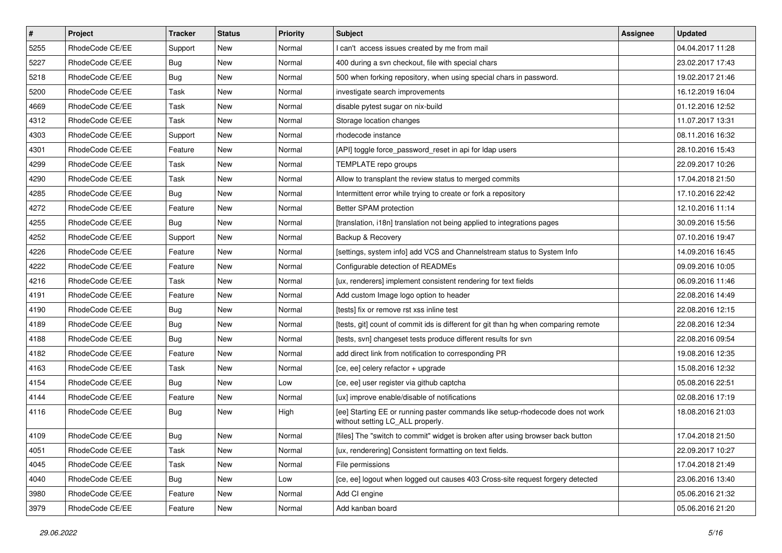| $\pmb{\#}$ | Project         | <b>Tracker</b> | <b>Status</b> | <b>Priority</b> | <b>Subject</b>                                                                                                     | Assignee | <b>Updated</b>   |
|------------|-----------------|----------------|---------------|-----------------|--------------------------------------------------------------------------------------------------------------------|----------|------------------|
| 5255       | RhodeCode CE/EE | Support        | New           | Normal          | I can't access issues created by me from mail                                                                      |          | 04.04.2017 11:28 |
| 5227       | RhodeCode CE/EE | <b>Bug</b>     | New           | Normal          | 400 during a svn checkout, file with special chars                                                                 |          | 23.02.2017 17:43 |
| 5218       | RhodeCode CE/EE | Bug            | New           | Normal          | 500 when forking repository, when using special chars in password.                                                 |          | 19.02.2017 21:46 |
| 5200       | RhodeCode CE/EE | Task           | New           | Normal          | investigate search improvements                                                                                    |          | 16.12.2019 16:04 |
| 4669       | RhodeCode CE/EE | <b>Task</b>    | <b>New</b>    | Normal          | disable pytest sugar on nix-build                                                                                  |          | 01.12.2016 12:52 |
| 4312       | RhodeCode CE/EE | Task           | New           | Normal          | Storage location changes                                                                                           |          | 11.07.2017 13:31 |
| 4303       | RhodeCode CE/EE | Support        | <b>New</b>    | Normal          | rhodecode instance                                                                                                 |          | 08.11.2016 16:32 |
| 4301       | RhodeCode CE/EE | Feature        | New           | Normal          | [API] toggle force password reset in api for Idap users                                                            |          | 28.10.2016 15:43 |
| 4299       | RhodeCode CE/EE | Task           | New           | Normal          | TEMPLATE repo groups                                                                                               |          | 22.09.2017 10:26 |
| 4290       | RhodeCode CE/EE | Task           | <b>New</b>    | Normal          | Allow to transplant the review status to merged commits                                                            |          | 17.04.2018 21:50 |
| 4285       | RhodeCode CE/EE | <b>Bug</b>     | New           | Normal          | Intermittent error while trying to create or fork a repository                                                     |          | 17.10.2016 22:42 |
| 4272       | RhodeCode CE/EE | Feature        | New           | Normal          | Better SPAM protection                                                                                             |          | 12.10.2016 11:14 |
| 4255       | RhodeCode CE/EE | Bug            | New           | Normal          | [translation, i18n] translation not being applied to integrations pages                                            |          | 30.09.2016 15:56 |
| 4252       | RhodeCode CE/EE | Support        | New           | Normal          | Backup & Recovery                                                                                                  |          | 07.10.2016 19:47 |
| 4226       | RhodeCode CE/EE | Feature        | <b>New</b>    | Normal          | [settings, system info] add VCS and Channelstream status to System Info                                            |          | 14.09.2016 16:45 |
| 4222       | RhodeCode CE/EE | Feature        | New           | Normal          | Configurable detection of READMEs                                                                                  |          | 09.09.2016 10:05 |
| 4216       | RhodeCode CE/EE | Task           | New           | Normal          | [ux, renderers] implement consistent rendering for text fields                                                     |          | 06.09.2016 11:46 |
| 4191       | RhodeCode CE/EE | Feature        | <b>New</b>    | Normal          | Add custom Image logo option to header                                                                             |          | 22.08.2016 14:49 |
| 4190       | RhodeCode CE/EE | Bug            | New           | Normal          | [tests] fix or remove rst xss inline test                                                                          |          | 22.08.2016 12:15 |
| 4189       | RhodeCode CE/EE | <b>Bug</b>     | New           | Normal          | [tests, git] count of commit ids is different for git than hg when comparing remote                                |          | 22.08.2016 12:34 |
| 4188       | RhodeCode CE/EE | Bug            | New           | Normal          | [tests, svn] changeset tests produce different results for svn                                                     |          | 22.08.2016 09:54 |
| 4182       | RhodeCode CE/EE | Feature        | New           | Normal          | add direct link from notification to corresponding PR                                                              |          | 19.08.2016 12:35 |
| 4163       | RhodeCode CE/EE | <b>Task</b>    | <b>New</b>    | Normal          | [ce, ee] celery refactor + upgrade                                                                                 |          | 15.08.2016 12:32 |
| 4154       | RhodeCode CE/EE | <b>Bug</b>     | New           | Low             | [ce, ee] user register via github captcha                                                                          |          | 05.08.2016 22:51 |
| 4144       | RhodeCode CE/EE | Feature        | <b>New</b>    | Normal          | [ux] improve enable/disable of notifications                                                                       |          | 02.08.2016 17:19 |
| 4116       | RhodeCode CE/EE | Bug            | New           | High            | [ee] Starting EE or running paster commands like setup-rhodecode does not work<br>without setting LC_ALL properly. |          | 18.08.2016 21:03 |
| 4109       | RhodeCode CE/EE | Bug            | <b>New</b>    | Normal          | [files] The "switch to commit" widget is broken after using browser back button                                    |          | 17.04.2018 21:50 |
| 4051       | RhodeCode CE/EE | Task           | New           | Normal          | [ux, renderering] Consistent formatting on text fields.                                                            |          | 22.09.2017 10:27 |
| 4045       | RhodeCode CE/EE | Task           | New           | Normal          | File permissions                                                                                                   |          | 17.04.2018 21:49 |
| 4040       | RhodeCode CE/EE | Bug            | New           | Low             | [ce, ee] logout when logged out causes 403 Cross-site request forgery detected                                     |          | 23.06.2016 13:40 |
| 3980       | RhodeCode CE/EE | Feature        | New           | Normal          | Add CI engine                                                                                                      |          | 05.06.2016 21:32 |
| 3979       | RhodeCode CE/EE | Feature        | New           | Normal          | Add kanban board                                                                                                   |          | 05.06.2016 21:20 |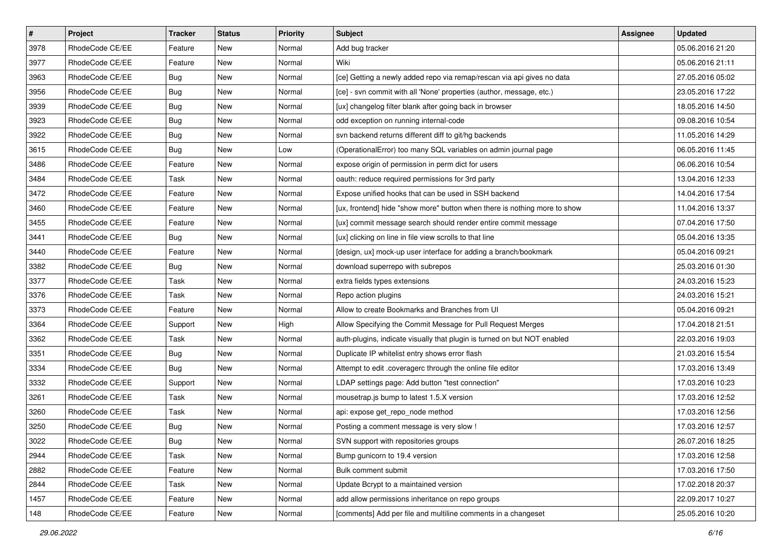| $\vert$ # | Project         | Tracker    | <b>Status</b> | <b>Priority</b> | <b>Subject</b>                                                            | Assignee | <b>Updated</b>   |
|-----------|-----------------|------------|---------------|-----------------|---------------------------------------------------------------------------|----------|------------------|
| 3978      | RhodeCode CE/EE | Feature    | New           | Normal          | Add bug tracker                                                           |          | 05.06.2016 21:20 |
| 3977      | RhodeCode CE/EE | Feature    | <b>New</b>    | Normal          | Wiki                                                                      |          | 05.06.2016 21:11 |
| 3963      | RhodeCode CE/EE | Bug        | New           | Normal          | [ce] Getting a newly added repo via remap/rescan via api gives no data    |          | 27.05.2016 05:02 |
| 3956      | RhodeCode CE/EE | <b>Bug</b> | New           | Normal          | [ce] - svn commit with all 'None' properties (author, message, etc.)      |          | 23.05.2016 17:22 |
| 3939      | RhodeCode CE/EE | Bug        | New           | Normal          | [ux] changelog filter blank after going back in browser                   |          | 18.05.2016 14:50 |
| 3923      | RhodeCode CE/EE | <b>Bug</b> | New           | Normal          | odd exception on running internal-code                                    |          | 09.08.2016 10:54 |
| 3922      | RhodeCode CE/EE | <b>Bug</b> | New           | Normal          | svn backend returns different diff to git/hg backends                     |          | 11.05.2016 14:29 |
| 3615      | RhodeCode CE/EE | Bug        | New           | Low             | (OperationalError) too many SQL variables on admin journal page           |          | 06.05.2016 11:45 |
| 3486      | RhodeCode CE/EE | Feature    | New           | Normal          | expose origin of permission in perm dict for users                        |          | 06.06.2016 10:54 |
| 3484      | RhodeCode CE/EE | Task       | New           | Normal          | oauth: reduce required permissions for 3rd party                          |          | 13.04.2016 12:33 |
| 3472      | RhodeCode CE/EE | Feature    | New           | Normal          | Expose unified hooks that can be used in SSH backend                      |          | 14.04.2016 17:54 |
| 3460      | RhodeCode CE/EE | Feature    | New           | Normal          | [ux, frontend] hide "show more" button when there is nothing more to show |          | 11.04.2016 13:37 |
| 3455      | RhodeCode CE/EE | Feature    | New           | Normal          | [ux] commit message search should render entire commit message            |          | 07.04.2016 17:50 |
| 3441      | RhodeCode CE/EE | <b>Bug</b> | New           | Normal          | [ux] clicking on line in file view scrolls to that line                   |          | 05.04.2016 13:35 |
| 3440      | RhodeCode CE/EE | Feature    | New           | Normal          | [design, ux] mock-up user interface for adding a branch/bookmark          |          | 05.04.2016 09:21 |
| 3382      | RhodeCode CE/EE | Bug        | New           | Normal          | download superrepo with subrepos                                          |          | 25.03.2016 01:30 |
| 3377      | RhodeCode CE/EE | Task       | New           | Normal          | extra fields types extensions                                             |          | 24.03.2016 15:23 |
| 3376      | RhodeCode CE/EE | Task       | New           | Normal          | Repo action plugins                                                       |          | 24.03.2016 15:21 |
| 3373      | RhodeCode CE/EE | Feature    | New           | Normal          | Allow to create Bookmarks and Branches from UI                            |          | 05.04.2016 09:21 |
| 3364      | RhodeCode CE/EE | Support    | New           | High            | Allow Specifying the Commit Message for Pull Request Merges               |          | 17.04.2018 21:51 |
| 3362      | RhodeCode CE/EE | Task       | New           | Normal          | auth-plugins, indicate visually that plugin is turned on but NOT enabled  |          | 22.03.2016 19:03 |
| 3351      | RhodeCode CE/EE | <b>Bug</b> | New           | Normal          | Duplicate IP whitelist entry shows error flash                            |          | 21.03.2016 15:54 |
| 3334      | RhodeCode CE/EE | Bug        | New           | Normal          | Attempt to edit .coveragerc through the online file editor                |          | 17.03.2016 13:49 |
| 3332      | RhodeCode CE/EE | Support    | New           | Normal          | LDAP settings page: Add button "test connection"                          |          | 17.03.2016 10:23 |
| 3261      | RhodeCode CE/EE | Task       | New           | Normal          | mousetrap.js bump to latest 1.5.X version                                 |          | 17.03.2016 12:52 |
| 3260      | RhodeCode CE/EE | Task       | New           | Normal          | api: expose get_repo_node method                                          |          | 17.03.2016 12:56 |
| 3250      | RhodeCode CE/EE | <b>Bug</b> | New           | Normal          | Posting a comment message is very slow !                                  |          | 17.03.2016 12:57 |
| 3022      | RhodeCode CE/EE | <b>Bug</b> | New           | Normal          | SVN support with repositories groups                                      |          | 26.07.2016 18:25 |
| 2944      | RhodeCode CE/EE | Task       | New           | Normal          | Bump gunicorn to 19.4 version                                             |          | 17.03.2016 12:58 |
| 2882      | RhodeCode CE/EE | Feature    | New           | Normal          | Bulk comment submit                                                       |          | 17.03.2016 17:50 |
| 2844      | RhodeCode CE/EE | Task       | New           | Normal          | Update Bcrypt to a maintained version                                     |          | 17.02.2018 20:37 |
| 1457      | RhodeCode CE/EE | Feature    | New           | Normal          | add allow permissions inheritance on repo groups                          |          | 22.09.2017 10:27 |
| 148       | RhodeCode CE/EE | Feature    | New           | Normal          | [comments] Add per file and multiline comments in a changeset             |          | 25.05.2016 10:20 |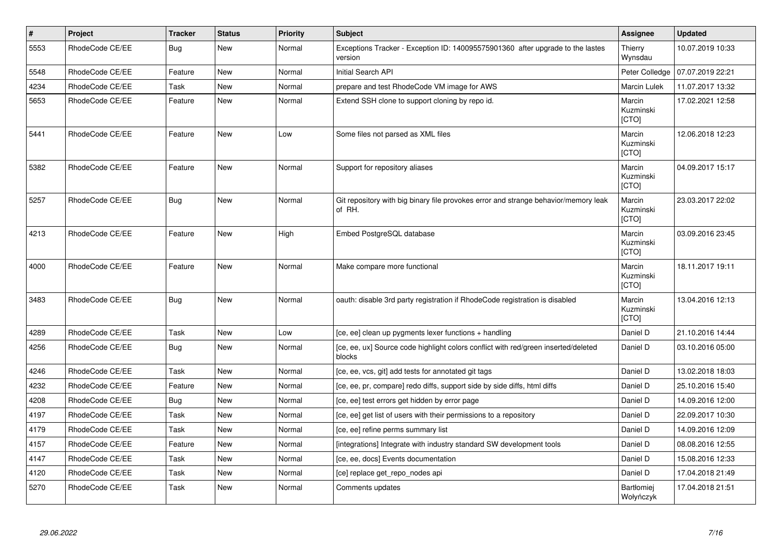| $\vert$ # | Project         | <b>Tracker</b> | <b>Status</b> | Priority | <b>Subject</b>                                                                                | Assignee                            | <b>Updated</b>   |
|-----------|-----------------|----------------|---------------|----------|-----------------------------------------------------------------------------------------------|-------------------------------------|------------------|
| 5553      | RhodeCode CE/EE | Bug            | <b>New</b>    | Normal   | Exceptions Tracker - Exception ID: 140095575901360 after upgrade to the lastes<br>version     | Thierry<br>Wynsdau                  | 10.07.2019 10:33 |
| 5548      | RhodeCode CE/EE | Feature        | <b>New</b>    | Normal   | <b>Initial Search API</b>                                                                     | Peter Colledge                      | 07.07.2019 22:21 |
| 4234      | RhodeCode CE/EE | Task           | <b>New</b>    | Normal   | prepare and test RhodeCode VM image for AWS                                                   | Marcin Lulek                        | 11.07.2017 13:32 |
| 5653      | RhodeCode CE/EE | Feature        | New           | Normal   | Extend SSH clone to support cloning by repo id.                                               | Marcin<br>Kuzminski<br>[CTO]        | 17.02.2021 12:58 |
| 5441      | RhodeCode CE/EE | Feature        | <b>New</b>    | Low      | Some files not parsed as XML files                                                            | Marcin<br>Kuzminski<br>[CTO]        | 12.06.2018 12:23 |
| 5382      | RhodeCode CE/EE | Feature        | <b>New</b>    | Normal   | Support for repository aliases                                                                | Marcin<br>Kuzminski<br><b>[CTO]</b> | 04.09.2017 15:17 |
| 5257      | RhodeCode CE/EE | <b>Bug</b>     | <b>New</b>    | Normal   | Git repository with big binary file provokes error and strange behavior/memory leak<br>of RH. | Marcin<br>Kuzminski<br>[CTO]        | 23.03.2017 22:02 |
| 4213      | RhodeCode CE/EE | Feature        | <b>New</b>    | High     | Embed PostgreSQL database                                                                     | Marcin<br>Kuzminski<br><b>ICTOI</b> | 03.09.2016 23:45 |
| 4000      | RhodeCode CE/EE | Feature        | <b>New</b>    | Normal   | Make compare more functional                                                                  | Marcin<br>Kuzminski<br>[CTO]        | 18.11.2017 19:11 |
| 3483      | RhodeCode CE/EE | <b>Bug</b>     | <b>New</b>    | Normal   | oauth: disable 3rd party registration if RhodeCode registration is disabled                   | Marcin<br>Kuzminski<br>[CTO]        | 13.04.2016 12:13 |
| 4289      | RhodeCode CE/EE | Task           | <b>New</b>    | Low      | [ce, ee] clean up pygments lexer functions + handling                                         | Daniel D                            | 21.10.2016 14:44 |
| 4256      | RhodeCode CE/EE | Bug            | New           | Normal   | [ce, ee, ux] Source code highlight colors conflict with red/green inserted/deleted<br>blocks  | Daniel D                            | 03.10.2016 05:00 |
| 4246      | RhodeCode CE/EE | Task           | <b>New</b>    | Normal   | [ce, ee, vcs, git] add tests for annotated git tags                                           | Daniel D                            | 13.02.2018 18:03 |
| 4232      | RhodeCode CE/EE | Feature        | New           | Normal   | [ce, ee, pr, compare] redo diffs, support side by side diffs, html diffs                      | Daniel D                            | 25.10.2016 15:40 |
| 4208      | RhodeCode CE/EE | Bug            | New           | Normal   | [ce, ee] test errors get hidden by error page                                                 | Daniel D                            | 14.09.2016 12:00 |
| 4197      | RhodeCode CE/EE | Task           | <b>New</b>    | Normal   | [ce, ee] get list of users with their permissions to a repository                             | Daniel D                            | 22.09.2017 10:30 |
| 4179      | RhodeCode CE/EE | Task           | New           | Normal   | [ce, ee] refine perms summary list                                                            | Daniel D                            | 14.09.2016 12:09 |
| 4157      | RhodeCode CE/EE | Feature        | <b>New</b>    | Normal   | [integrations] Integrate with industry standard SW development tools                          | Daniel D                            | 08.08.2016 12:55 |
| 4147      | RhodeCode CE/EE | Task           | <b>New</b>    | Normal   | [ce, ee, docs] Events documentation                                                           | Daniel D                            | 15.08.2016 12:33 |
| 4120      | RhodeCode CE/EE | <b>Task</b>    | <b>New</b>    | Normal   | [ce] replace get_repo_nodes api                                                               | Daniel D                            | 17.04.2018 21:49 |
| 5270      | RhodeCode CE/EE | Task           | <b>New</b>    | Normal   | Comments updates                                                                              | Bartłomiej<br>Wołyńczyk             | 17.04.2018 21:51 |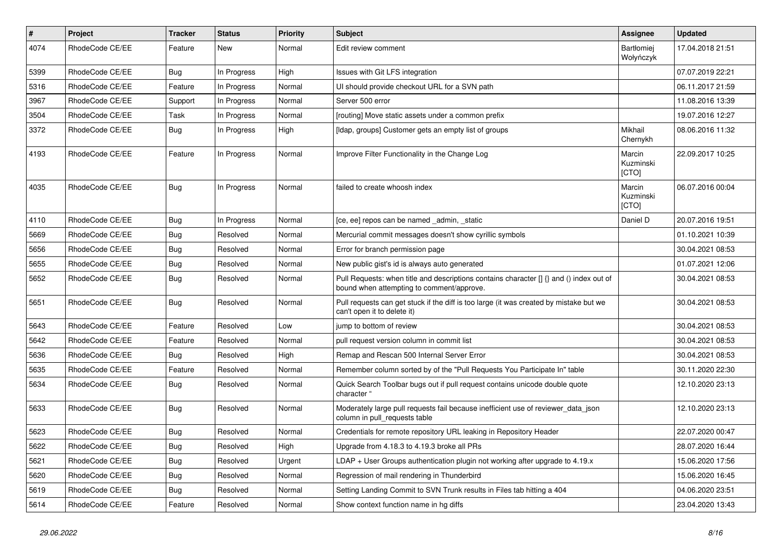| $\vert$ # | <b>Project</b>  | <b>Tracker</b> | <b>Status</b> | <b>Priority</b> | <b>Subject</b>                                                                                                                       | Assignee                       | <b>Updated</b>   |
|-----------|-----------------|----------------|---------------|-----------------|--------------------------------------------------------------------------------------------------------------------------------------|--------------------------------|------------------|
| 4074      | RhodeCode CE/EE | Feature        | <b>New</b>    | Normal          | Edit review comment                                                                                                                  | <b>Bartłomiei</b><br>Wołyńczyk | 17.04.2018 21:51 |
| 5399      | RhodeCode CE/EE | Bug            | In Progress   | High            | Issues with Git LFS integration                                                                                                      |                                | 07.07.2019 22:21 |
| 5316      | RhodeCode CE/EE | Feature        | In Progress   | Normal          | UI should provide checkout URL for a SVN path                                                                                        |                                | 06.11.2017 21:59 |
| 3967      | RhodeCode CE/EE | Support        | In Progress   | Normal          | Server 500 error                                                                                                                     |                                | 11.08.2016 13:39 |
| 3504      | RhodeCode CE/EE | Task           | In Progress   | Normal          | [routing] Move static assets under a common prefix                                                                                   |                                | 19.07.2016 12:27 |
| 3372      | RhodeCode CE/EE | Bug            | In Progress   | High            | [Idap, groups] Customer gets an empty list of groups                                                                                 | Mikhail<br>Chernykh            | 08.06.2016 11:32 |
| 4193      | RhodeCode CE/EE | Feature        | In Progress   | Normal          | Improve Filter Functionality in the Change Log                                                                                       | Marcin<br>Kuzminski<br>[CTO]   | 22.09.2017 10:25 |
| 4035      | RhodeCode CE/EE | Bug            | In Progress   | Normal          | failed to create whoosh index                                                                                                        | Marcin<br>Kuzminski<br>[CTO]   | 06.07.2016 00:04 |
| 4110      | RhodeCode CE/EE | Bua            | In Progress   | Normal          | [ce, ee] repos can be named _admin, _static                                                                                          | Daniel D                       | 20.07.2016 19:51 |
| 5669      | RhodeCode CE/EE | Bug            | Resolved      | Normal          | Mercurial commit messages doesn't show cyrillic symbols                                                                              |                                | 01.10.2021 10:39 |
| 5656      | RhodeCode CE/EE | Bug            | Resolved      | Normal          | Error for branch permission page                                                                                                     |                                | 30.04.2021 08:53 |
| 5655      | RhodeCode CE/EE | Bug            | Resolved      | Normal          | New public gist's id is always auto generated                                                                                        |                                | 01.07.2021 12:06 |
| 5652      | RhodeCode CE/EE | Bug            | Resolved      | Normal          | Pull Requests: when title and descriptions contains character [] {} and () index out of<br>bound when attempting to comment/approve. |                                | 30.04.2021 08:53 |
| 5651      | RhodeCode CE/EE | Bug            | Resolved      | Normal          | Pull requests can get stuck if the diff is too large (it was created by mistake but we<br>can't open it to delete it)                |                                | 30.04.2021 08:53 |
| 5643      | RhodeCode CE/EE | Feature        | Resolved      | Low             | jump to bottom of review                                                                                                             |                                | 30.04.2021 08:53 |
| 5642      | RhodeCode CE/EE | Feature        | Resolved      | Normal          | pull request version column in commit list                                                                                           |                                | 30.04.2021 08:53 |
| 5636      | RhodeCode CE/EE | <b>Bug</b>     | Resolved      | High            | Remap and Rescan 500 Internal Server Error                                                                                           |                                | 30.04.2021 08:53 |
| 5635      | RhodeCode CE/EE | Feature        | Resolved      | Normal          | Remember column sorted by of the "Pull Requests You Participate In" table                                                            |                                | 30.11.2020 22:30 |
| 5634      | RhodeCode CE/EE | Bug            | Resolved      | Normal          | Quick Search Toolbar bugs out if pull request contains unicode double quote<br>character "                                           |                                | 12.10.2020 23:13 |
| 5633      | RhodeCode CE/EE | Bug            | Resolved      | Normal          | Moderately large pull requests fail because inefficient use of reviewer_data_json<br>column in pull requests table                   |                                | 12.10.2020 23:13 |
| 5623      | RhodeCode CE/EE | Bug            | Resolved      | Normal          | Credentials for remote repository URL leaking in Repository Header                                                                   |                                | 22.07.2020 00:47 |
| 5622      | RhodeCode CE/EE | Bug            | Resolved      | High            | Upgrade from 4.18.3 to 4.19.3 broke all PRs                                                                                          |                                | 28.07.2020 16:44 |
| 5621      | RhodeCode CE/EE | Bug            | Resolved      | Urgent          | LDAP + User Groups authentication plugin not working after upgrade to 4.19.x                                                         |                                | 15.06.2020 17:56 |
| 5620      | RhodeCode CE/EE | Bug            | Resolved      | Normal          | Regression of mail rendering in Thunderbird                                                                                          |                                | 15.06.2020 16:45 |
| 5619      | RhodeCode CE/EE | Bug            | Resolved      | Normal          | Setting Landing Commit to SVN Trunk results in Files tab hitting a 404                                                               |                                | 04.06.2020 23:51 |
| 5614      | RhodeCode CE/EE | Feature        | Resolved      | Normal          | Show context function name in hg diffs                                                                                               |                                | 23.04.2020 13:43 |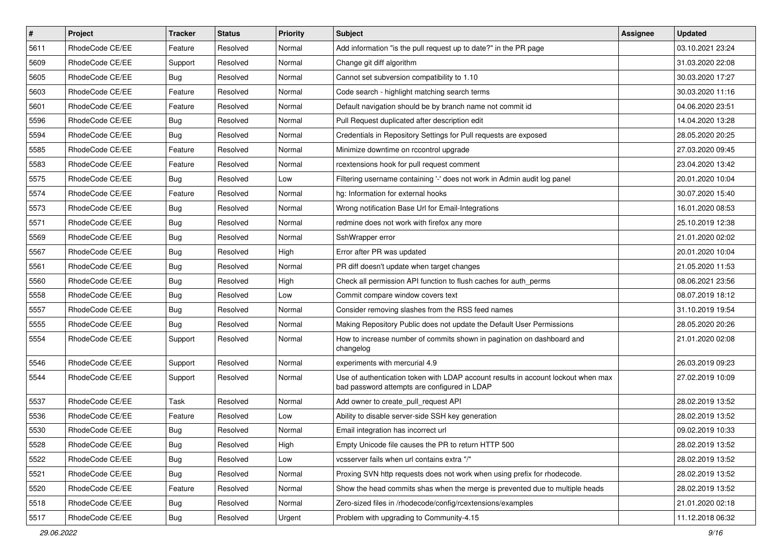| $\vert$ # | Project         | <b>Tracker</b> | <b>Status</b> | <b>Priority</b> | <b>Subject</b>                                                                                                                    | <b>Assignee</b> | <b>Updated</b>   |
|-----------|-----------------|----------------|---------------|-----------------|-----------------------------------------------------------------------------------------------------------------------------------|-----------------|------------------|
| 5611      | RhodeCode CE/EE | Feature        | Resolved      | Normal          | Add information "is the pull request up to date?" in the PR page                                                                  |                 | 03.10.2021 23:24 |
| 5609      | RhodeCode CE/EE | Support        | Resolved      | Normal          | Change git diff algorithm                                                                                                         |                 | 31.03.2020 22:08 |
| 5605      | RhodeCode CE/EE | Bug            | Resolved      | Normal          | Cannot set subversion compatibility to 1.10                                                                                       |                 | 30.03.2020 17:27 |
| 5603      | RhodeCode CE/EE | Feature        | Resolved      | Normal          | Code search - highlight matching search terms                                                                                     |                 | 30.03.2020 11:16 |
| 5601      | RhodeCode CE/EE | Feature        | Resolved      | Normal          | Default navigation should be by branch name not commit id                                                                         |                 | 04.06.2020 23:51 |
| 5596      | RhodeCode CE/EE | <b>Bug</b>     | Resolved      | Normal          | Pull Request duplicated after description edit                                                                                    |                 | 14.04.2020 13:28 |
| 5594      | RhodeCode CE/EE | Bug            | Resolved      | Normal          | Credentials in Repository Settings for Pull requests are exposed                                                                  |                 | 28.05.2020 20:25 |
| 5585      | RhodeCode CE/EE | Feature        | Resolved      | Normal          | Minimize downtime on rccontrol upgrade                                                                                            |                 | 27.03.2020 09:45 |
| 5583      | RhodeCode CE/EE | Feature        | Resolved      | Normal          | rcextensions hook for pull request comment                                                                                        |                 | 23.04.2020 13:42 |
| 5575      | RhodeCode CE/EE | <b>Bug</b>     | Resolved      | Low             | Filtering username containing '-' does not work in Admin audit log panel                                                          |                 | 20.01.2020 10:04 |
| 5574      | RhodeCode CE/EE | Feature        | Resolved      | Normal          | hg: Information for external hooks                                                                                                |                 | 30.07.2020 15:40 |
| 5573      | RhodeCode CE/EE | <b>Bug</b>     | Resolved      | Normal          | Wrong notification Base Url for Email-Integrations                                                                                |                 | 16.01.2020 08:53 |
| 5571      | RhodeCode CE/EE | Bug            | Resolved      | Normal          | redmine does not work with firefox any more                                                                                       |                 | 25.10.2019 12:38 |
| 5569      | RhodeCode CE/EE | Bug            | Resolved      | Normal          | SshWrapper error                                                                                                                  |                 | 21.01.2020 02:02 |
| 5567      | RhodeCode CE/EE | <b>Bug</b>     | Resolved      | High            | Error after PR was updated                                                                                                        |                 | 20.01.2020 10:04 |
| 5561      | RhodeCode CE/EE | <b>Bug</b>     | Resolved      | Normal          | PR diff doesn't update when target changes                                                                                        |                 | 21.05.2020 11:53 |
| 5560      | RhodeCode CE/EE | <b>Bug</b>     | Resolved      | High            | Check all permission API function to flush caches for auth_perms                                                                  |                 | 08.06.2021 23:56 |
| 5558      | RhodeCode CE/EE | Bug            | Resolved      | Low             | Commit compare window covers text                                                                                                 |                 | 08.07.2019 18:12 |
| 5557      | RhodeCode CE/EE | <b>Bug</b>     | Resolved      | Normal          | Consider removing slashes from the RSS feed names                                                                                 |                 | 31.10.2019 19:54 |
| 5555      | RhodeCode CE/EE | Bug            | Resolved      | Normal          | Making Repository Public does not update the Default User Permissions                                                             |                 | 28.05.2020 20:26 |
| 5554      | RhodeCode CE/EE | Support        | Resolved      | Normal          | How to increase number of commits shown in pagination on dashboard and<br>changelog                                               |                 | 21.01.2020 02:08 |
| 5546      | RhodeCode CE/EE | Support        | Resolved      | Normal          | experiments with mercurial 4.9                                                                                                    |                 | 26.03.2019 09:23 |
| 5544      | RhodeCode CE/EE | Support        | Resolved      | Normal          | Use of authentication token with LDAP account results in account lockout when max<br>bad password attempts are configured in LDAP |                 | 27.02.2019 10:09 |
| 5537      | RhodeCode CE/EE | Task           | Resolved      | Normal          | Add owner to create_pull_request API                                                                                              |                 | 28.02.2019 13:52 |
| 5536      | RhodeCode CE/EE | Feature        | Resolved      | Low             | Ability to disable server-side SSH key generation                                                                                 |                 | 28.02.2019 13:52 |
| 5530      | RhodeCode CE/EE | Bug            | Resolved      | Normal          | Email integration has incorrect url                                                                                               |                 | 09.02.2019 10:33 |
| 5528      | RhodeCode CE/EE | <b>Bug</b>     | Resolved      | High            | Empty Unicode file causes the PR to return HTTP 500                                                                               |                 | 28.02.2019 13:52 |
| 5522      | RhodeCode CE/EE | <b>Bug</b>     | Resolved      | Low             | vcsserver fails when url contains extra "/"                                                                                       |                 | 28.02.2019 13:52 |
| 5521      | RhodeCode CE/EE | Bug            | Resolved      | Normal          | Proxing SVN http requests does not work when using prefix for rhodecode.                                                          |                 | 28.02.2019 13:52 |
| 5520      | RhodeCode CE/EE | Feature        | Resolved      | Normal          | Show the head commits shas when the merge is prevented due to multiple heads                                                      |                 | 28.02.2019 13:52 |
| 5518      | RhodeCode CE/EE | Bug            | Resolved      | Normal          | Zero-sized files in /rhodecode/config/rcextensions/examples                                                                       |                 | 21.01.2020 02:18 |
| 5517      | RhodeCode CE/EE | <b>Bug</b>     | Resolved      | Urgent          | Problem with upgrading to Community-4.15                                                                                          |                 | 11.12.2018 06:32 |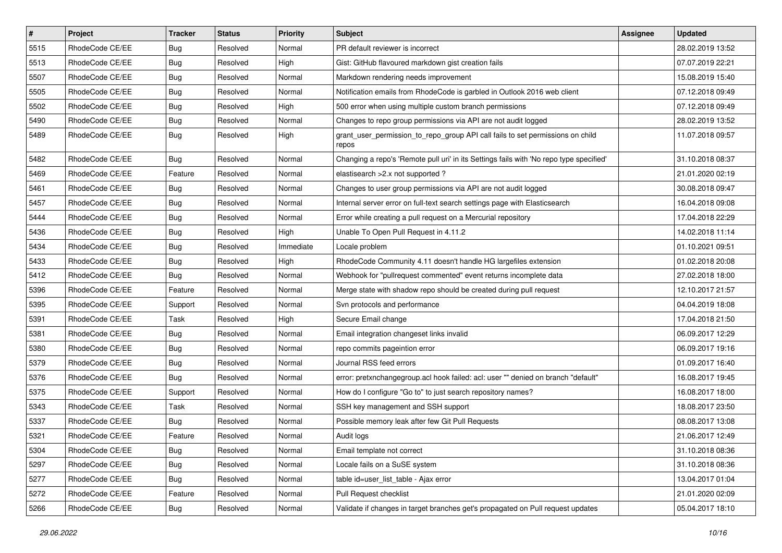| $\vert$ # | Project         | <b>Tracker</b> | <b>Status</b> | <b>Priority</b> | <b>Subject</b>                                                                          | <b>Assignee</b> | <b>Updated</b>   |
|-----------|-----------------|----------------|---------------|-----------------|-----------------------------------------------------------------------------------------|-----------------|------------------|
| 5515      | RhodeCode CE/EE | <b>Bug</b>     | Resolved      | Normal          | PR default reviewer is incorrect                                                        |                 | 28.02.2019 13:52 |
| 5513      | RhodeCode CE/EE | <b>Bug</b>     | Resolved      | High            | Gist: GitHub flavoured markdown gist creation fails                                     |                 | 07.07.2019 22:21 |
| 5507      | RhodeCode CE/EE | <b>Bug</b>     | Resolved      | Normal          | Markdown rendering needs improvement                                                    |                 | 15.08.2019 15:40 |
| 5505      | RhodeCode CE/EE | <b>Bug</b>     | Resolved      | Normal          | Notification emails from RhodeCode is garbled in Outlook 2016 web client                |                 | 07.12.2018 09:49 |
| 5502      | RhodeCode CE/EE | Bug            | Resolved      | High            | 500 error when using multiple custom branch permissions                                 |                 | 07.12.2018 09:49 |
| 5490      | RhodeCode CE/EE | <b>Bug</b>     | Resolved      | Normal          | Changes to repo group permissions via API are not audit logged                          |                 | 28.02.2019 13:52 |
| 5489      | RhodeCode CE/EE | Bug            | Resolved      | High            | grant_user_permission_to_repo_group API call fails to set permissions on child<br>repos |                 | 11.07.2018 09:57 |
| 5482      | RhodeCode CE/EE | Bug            | Resolved      | Normal          | Changing a repo's 'Remote pull uri' in its Settings fails with 'No repo type specified' |                 | 31.10.2018 08:37 |
| 5469      | RhodeCode CE/EE | Feature        | Resolved      | Normal          | elastisearch > 2.x not supported?                                                       |                 | 21.01.2020 02:19 |
| 5461      | RhodeCode CE/EE | Bug            | Resolved      | Normal          | Changes to user group permissions via API are not audit logged                          |                 | 30.08.2018 09:47 |
| 5457      | RhodeCode CE/EE | <b>Bug</b>     | Resolved      | Normal          | Internal server error on full-text search settings page with Elasticsearch              |                 | 16.04.2018 09:08 |
| 5444      | RhodeCode CE/EE | Bug            | Resolved      | Normal          | Error while creating a pull request on a Mercurial repository                           |                 | 17.04.2018 22:29 |
| 5436      | RhodeCode CE/EE | <b>Bug</b>     | Resolved      | High            | Unable To Open Pull Request in 4.11.2                                                   |                 | 14.02.2018 11:14 |
| 5434      | RhodeCode CE/EE | <b>Bug</b>     | Resolved      | Immediate       | Locale problem                                                                          |                 | 01.10.2021 09:51 |
| 5433      | RhodeCode CE/EE | Bug            | Resolved      | High            | RhodeCode Community 4.11 doesn't handle HG largefiles extension                         |                 | 01.02.2018 20:08 |
| 5412      | RhodeCode CE/EE | Bug            | Resolved      | Normal          | Webhook for "pullrequest commented" event returns incomplete data                       |                 | 27.02.2018 18:00 |
| 5396      | RhodeCode CE/EE | Feature        | Resolved      | Normal          | Merge state with shadow repo should be created during pull request                      |                 | 12.10.2017 21:57 |
| 5395      | RhodeCode CE/EE | Support        | Resolved      | Normal          | Svn protocols and performance                                                           |                 | 04.04.2019 18:08 |
| 5391      | RhodeCode CE/EE | Task           | Resolved      | High            | Secure Email change                                                                     |                 | 17.04.2018 21:50 |
| 5381      | RhodeCode CE/EE | Bug            | Resolved      | Normal          | Email integration changeset links invalid                                               |                 | 06.09.2017 12:29 |
| 5380      | RhodeCode CE/EE | Bug            | Resolved      | Normal          | repo commits pageintion error                                                           |                 | 06.09.2017 19:16 |
| 5379      | RhodeCode CE/EE | Bug            | Resolved      | Normal          | Journal RSS feed errors                                                                 |                 | 01.09.2017 16:40 |
| 5376      | RhodeCode CE/EE | Bug            | Resolved      | Normal          | error: pretxnchangegroup.acl hook failed: acl: user "" denied on branch "default"       |                 | 16.08.2017 19:45 |
| 5375      | RhodeCode CE/EE | Support        | Resolved      | Normal          | How do I configure "Go to" to just search repository names?                             |                 | 16.08.2017 18:00 |
| 5343      | RhodeCode CE/EE | Task           | Resolved      | Normal          | SSH key management and SSH support                                                      |                 | 18.08.2017 23:50 |
| 5337      | RhodeCode CE/EE | <b>Bug</b>     | Resolved      | Normal          | Possible memory leak after few Git Pull Requests                                        |                 | 08.08.2017 13:08 |
| 5321      | RhodeCode CE/EE | Feature        | Resolved      | Normal          | Audit logs                                                                              |                 | 21.06.2017 12:49 |
| 5304      | RhodeCode CE/EE | <b>Bug</b>     | Resolved      | Normal          | Email template not correct                                                              |                 | 31.10.2018 08:36 |
| 5297      | RhodeCode CE/EE | <b>Bug</b>     | Resolved      | Normal          | Locale fails on a SuSE system                                                           |                 | 31.10.2018 08:36 |
| 5277      | RhodeCode CE/EE | <b>Bug</b>     | Resolved      | Normal          | table id=user_list_table - Ajax error                                                   |                 | 13.04.2017 01:04 |
| 5272      | RhodeCode CE/EE | Feature        | Resolved      | Normal          | Pull Request checklist                                                                  |                 | 21.01.2020 02:09 |
| 5266      | RhodeCode CE/EE | Bug            | Resolved      | Normal          | Validate if changes in target branches get's propagated on Pull request updates         |                 | 05.04.2017 18:10 |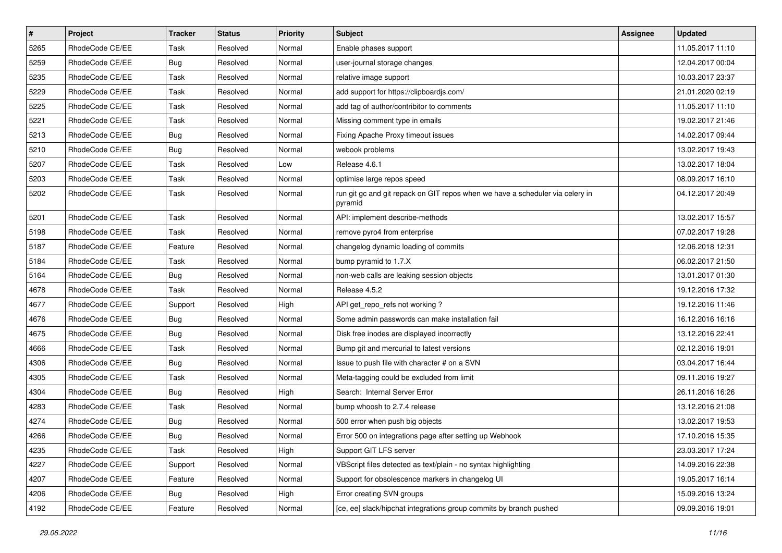| $\vert$ # | Project         | Tracker    | <b>Status</b> | <b>Priority</b> | Subject                                                                                  | Assignee | <b>Updated</b>   |
|-----------|-----------------|------------|---------------|-----------------|------------------------------------------------------------------------------------------|----------|------------------|
| 5265      | RhodeCode CE/EE | Task       | Resolved      | Normal          | Enable phases support                                                                    |          | 11.05.2017 11:10 |
| 5259      | RhodeCode CE/EE | <b>Bug</b> | Resolved      | Normal          | user-journal storage changes                                                             |          | 12.04.2017 00:04 |
| 5235      | RhodeCode CE/EE | Task       | Resolved      | Normal          | relative image support                                                                   |          | 10.03.2017 23:37 |
| 5229      | RhodeCode CE/EE | Task       | Resolved      | Normal          | add support for https://clipboardjs.com/                                                 |          | 21.01.2020 02:19 |
| 5225      | RhodeCode CE/EE | Task       | Resolved      | Normal          | add tag of author/contribitor to comments                                                |          | 11.05.2017 11:10 |
| 5221      | RhodeCode CE/EE | Task       | Resolved      | Normal          | Missing comment type in emails                                                           |          | 19.02.2017 21:46 |
| 5213      | RhodeCode CE/EE | <b>Bug</b> | Resolved      | Normal          | Fixing Apache Proxy timeout issues                                                       |          | 14.02.2017 09:44 |
| 5210      | RhodeCode CE/EE | Bug        | Resolved      | Normal          | webook problems                                                                          |          | 13.02.2017 19:43 |
| 5207      | RhodeCode CE/EE | Task       | Resolved      | Low             | Release 4.6.1                                                                            |          | 13.02.2017 18:04 |
| 5203      | RhodeCode CE/EE | Task       | Resolved      | Normal          | optimise large repos speed                                                               |          | 08.09.2017 16:10 |
| 5202      | RhodeCode CE/EE | Task       | Resolved      | Normal          | run git gc and git repack on GIT repos when we have a scheduler via celery in<br>pyramid |          | 04.12.2017 20:49 |
| 5201      | RhodeCode CE/EE | Task       | Resolved      | Normal          | API: implement describe-methods                                                          |          | 13.02.2017 15:57 |
| 5198      | RhodeCode CE/EE | Task       | Resolved      | Normal          | remove pyro4 from enterprise                                                             |          | 07.02.2017 19:28 |
| 5187      | RhodeCode CE/EE | Feature    | Resolved      | Normal          | changelog dynamic loading of commits                                                     |          | 12.06.2018 12:31 |
| 5184      | RhodeCode CE/EE | Task       | Resolved      | Normal          | bump pyramid to 1.7.X                                                                    |          | 06.02.2017 21:50 |
| 5164      | RhodeCode CE/EE | Bug        | Resolved      | Normal          | non-web calls are leaking session objects                                                |          | 13.01.2017 01:30 |
| 4678      | RhodeCode CE/EE | Task       | Resolved      | Normal          | Release 4.5.2                                                                            |          | 19.12.2016 17:32 |
| 4677      | RhodeCode CE/EE | Support    | Resolved      | High            | API get_repo_refs not working?                                                           |          | 19.12.2016 11:46 |
| 4676      | RhodeCode CE/EE | Bug        | Resolved      | Normal          | Some admin passwords can make installation fail                                          |          | 16.12.2016 16:16 |
| 4675      | RhodeCode CE/EE | Bug        | Resolved      | Normal          | Disk free inodes are displayed incorrectly                                               |          | 13.12.2016 22:41 |
| 4666      | RhodeCode CE/EE | Task       | Resolved      | Normal          | Bump git and mercurial to latest versions                                                |          | 02.12.2016 19:01 |
| 4306      | RhodeCode CE/EE | <b>Bug</b> | Resolved      | Normal          | Issue to push file with character # on a SVN                                             |          | 03.04.2017 16:44 |
| 4305      | RhodeCode CE/EE | Task       | Resolved      | Normal          | Meta-tagging could be excluded from limit                                                |          | 09.11.2016 19:27 |
| 4304      | RhodeCode CE/EE | Bug        | Resolved      | High            | Search: Internal Server Error                                                            |          | 26.11.2016 16:26 |
| 4283      | RhodeCode CE/EE | Task       | Resolved      | Normal          | bump whoosh to 2.7.4 release                                                             |          | 13.12.2016 21:08 |
| 4274      | RhodeCode CE/EE | <b>Bug</b> | Resolved      | Normal          | 500 error when push big objects                                                          |          | 13.02.2017 19:53 |
| 4266      | RhodeCode CE/EE | Bug        | Resolved      | Normal          | Error 500 on integrations page after setting up Webhook                                  |          | 17.10.2016 15:35 |
| 4235      | RhodeCode CE/EE | Task       | Resolved      | High            | Support GIT LFS server                                                                   |          | 23.03.2017 17:24 |
| 4227      | RhodeCode CE/EE | Support    | Resolved      | Normal          | VBScript files detected as text/plain - no syntax highlighting                           |          | 14.09.2016 22:38 |
| 4207      | RhodeCode CE/EE | Feature    | Resolved      | Normal          | Support for obsolescence markers in changelog UI                                         |          | 19.05.2017 16:14 |
| 4206      | RhodeCode CE/EE | <b>Bug</b> | Resolved      | High            | Error creating SVN groups                                                                |          | 15.09.2016 13:24 |
| 4192      | RhodeCode CE/EE | Feature    | Resolved      | Normal          | [ce, ee] slack/hipchat integrations group commits by branch pushed                       |          | 09.09.2016 19:01 |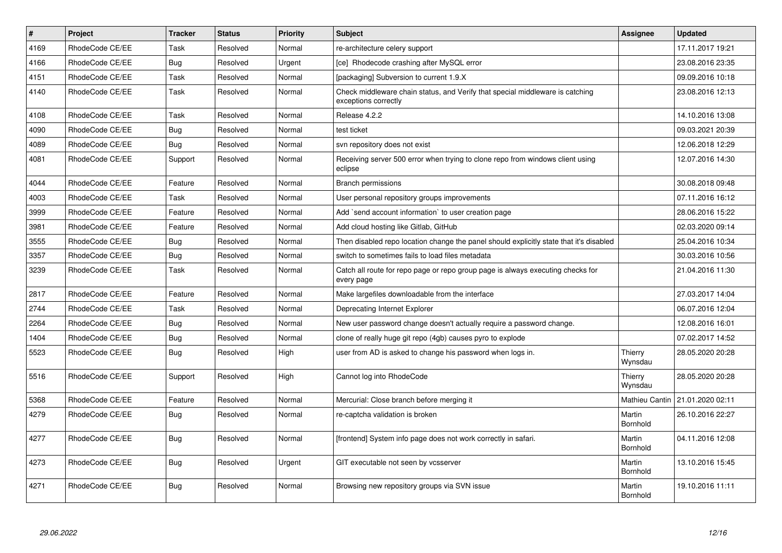| $\vert$ # | <b>Project</b>  | <b>Tracker</b> | <b>Status</b> | <b>Priority</b> | <b>Subject</b>                                                                                        | Assignee           | <b>Updated</b>   |
|-----------|-----------------|----------------|---------------|-----------------|-------------------------------------------------------------------------------------------------------|--------------------|------------------|
| 4169      | RhodeCode CE/EE | Task           | Resolved      | Normal          | re-architecture celery support                                                                        |                    | 17.11.2017 19:21 |
| 4166      | RhodeCode CE/EE | <b>Bug</b>     | Resolved      | Urgent          | [ce] Rhodecode crashing after MySQL error                                                             |                    | 23.08.2016 23:35 |
| 4151      | RhodeCode CE/EE | Task           | Resolved      | Normal          | [packaging] Subversion to current 1.9.X                                                               |                    | 09.09.2016 10:18 |
| 4140      | RhodeCode CE/EE | Task           | Resolved      | Normal          | Check middleware chain status, and Verify that special middleware is catching<br>exceptions correctly |                    | 23.08.2016 12:13 |
| 4108      | RhodeCode CE/EE | Task           | Resolved      | Normal          | Release 4.2.2                                                                                         |                    | 14.10.2016 13:08 |
| 4090      | RhodeCode CE/EE | Bug            | Resolved      | Normal          | test ticket                                                                                           |                    | 09.03.2021 20:39 |
| 4089      | RhodeCode CE/EE | Bug            | Resolved      | Normal          | svn repository does not exist                                                                         |                    | 12.06.2018 12:29 |
| 4081      | RhodeCode CE/EE | Support        | Resolved      | Normal          | Receiving server 500 error when trying to clone repo from windows client using<br>eclipse             |                    | 12.07.2016 14:30 |
| 4044      | RhodeCode CE/EE | Feature        | Resolved      | Normal          | <b>Branch permissions</b>                                                                             |                    | 30.08.2018 09:48 |
| 4003      | RhodeCode CE/EE | Task           | Resolved      | Normal          | User personal repository groups improvements                                                          |                    | 07.11.2016 16:12 |
| 3999      | RhodeCode CE/EE | Feature        | Resolved      | Normal          | Add `send account information` to user creation page                                                  |                    | 28.06.2016 15:22 |
| 3981      | RhodeCode CE/EE | Feature        | Resolved      | Normal          | Add cloud hosting like Gitlab, GitHub                                                                 |                    | 02.03.2020 09:14 |
| 3555      | RhodeCode CE/EE | Bug            | Resolved      | Normal          | Then disabled repo location change the panel should explicitly state that it's disabled               |                    | 25.04.2016 10:34 |
| 3357      | RhodeCode CE/EE | Bug            | Resolved      | Normal          | switch to sometimes fails to load files metadata                                                      |                    | 30.03.2016 10:56 |
| 3239      | RhodeCode CE/EE | Task           | Resolved      | Normal          | Catch all route for repo page or repo group page is always executing checks for<br>every page         |                    | 21.04.2016 11:30 |
| 2817      | RhodeCode CE/EE | Feature        | Resolved      | Normal          | Make largefiles downloadable from the interface                                                       |                    | 27.03.2017 14:04 |
| 2744      | RhodeCode CE/EE | Task           | Resolved      | Normal          | Deprecating Internet Explorer                                                                         |                    | 06.07.2016 12:04 |
| 2264      | RhodeCode CE/EE | Bug            | Resolved      | Normal          | New user password change doesn't actually require a password change.                                  |                    | 12.08.2016 16:01 |
| 1404      | RhodeCode CE/EE | Bug            | Resolved      | Normal          | clone of really huge git repo (4gb) causes pyro to explode                                            |                    | 07.02.2017 14:52 |
| 5523      | RhodeCode CE/EE | Bug            | Resolved      | High            | user from AD is asked to change his password when logs in.                                            | Thierry<br>Wynsdau | 28.05.2020 20:28 |
| 5516      | RhodeCode CE/EE | Support        | Resolved      | High            | Cannot log into RhodeCode                                                                             | Thierry<br>Wynsdau | 28.05.2020 20:28 |
| 5368      | RhodeCode CE/EE | Feature        | Resolved      | Normal          | Mercurial: Close branch before merging it                                                             | Mathieu Cantin     | 21.01.2020 02:11 |
| 4279      | RhodeCode CE/EE | <b>Bug</b>     | Resolved      | Normal          | re-captcha validation is broken                                                                       | Martin<br>Bornhold | 26.10.2016 22:27 |
| 4277      | RhodeCode CE/EE | Bug            | Resolved      | Normal          | [frontend] System info page does not work correctly in safari.                                        | Martin<br>Bornhold | 04.11.2016 12:08 |
| 4273      | RhodeCode CE/EE | Bug            | Resolved      | Urgent          | GIT executable not seen by vcsserver                                                                  | Martin<br>Bornhold | 13.10.2016 15:45 |
| 4271      | RhodeCode CE/EE | Bug            | Resolved      | Normal          | Browsing new repository groups via SVN issue                                                          | Martin<br>Bornhold | 19.10.2016 11:11 |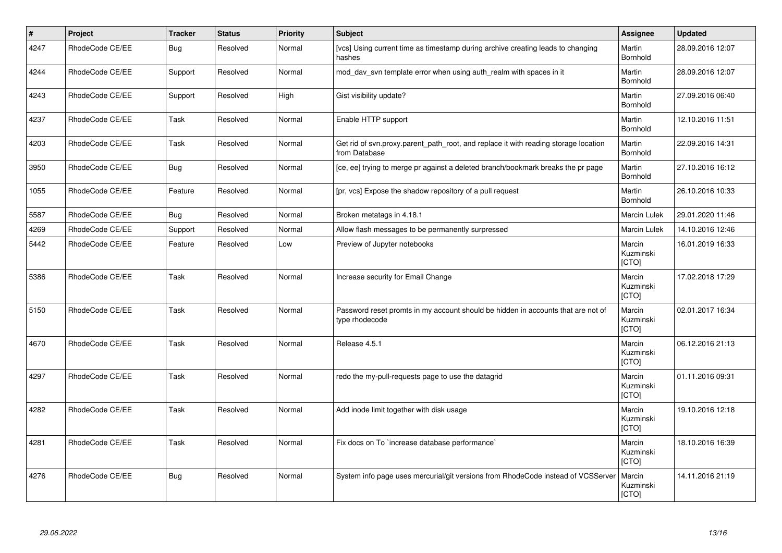| $\vert$ # | Project         | <b>Tracker</b> | <b>Status</b> | <b>Priority</b> | <b>Subject</b>                                                                                       | Assignee                     | <b>Updated</b>   |
|-----------|-----------------|----------------|---------------|-----------------|------------------------------------------------------------------------------------------------------|------------------------------|------------------|
| 4247      | RhodeCode CE/EE | Bug            | Resolved      | Normal          | [vcs] Using current time as timestamp during archive creating leads to changing<br>hashes            | Martin<br><b>Bornhold</b>    | 28.09.2016 12:07 |
| 4244      | RhodeCode CE/EE | Support        | Resolved      | Normal          | mod day syn template error when using auth realm with spaces in it                                   | Martin<br>Bornhold           | 28.09.2016 12:07 |
| 4243      | RhodeCode CE/EE | Support        | Resolved      | High            | Gist visibility update?                                                                              | Martin<br>Bornhold           | 27.09.2016 06:40 |
| 4237      | RhodeCode CE/EE | Task           | Resolved      | Normal          | Enable HTTP support                                                                                  | Martin<br><b>Bornhold</b>    | 12.10.2016 11:51 |
| 4203      | RhodeCode CE/EE | Task           | Resolved      | Normal          | Get rid of svn.proxy.parent path root, and replace it with reading storage location<br>from Database | Martin<br>Bornhold           | 22.09.2016 14:31 |
| 3950      | RhodeCode CE/EE | Bug            | Resolved      | Normal          | [ce, ee] trying to merge pr against a deleted branch/bookmark breaks the pr page                     | Martin<br><b>Bornhold</b>    | 27.10.2016 16:12 |
| 1055      | RhodeCode CE/EE | Feature        | Resolved      | Normal          | [pr, vcs] Expose the shadow repository of a pull request                                             | Martin<br>Bornhold           | 26.10.2016 10:33 |
| 5587      | RhodeCode CE/EE | Bug            | Resolved      | Normal          | Broken metatags in 4.18.1                                                                            | Marcin Lulek                 | 29.01.2020 11:46 |
| 4269      | RhodeCode CE/EE | Support        | Resolved      | Normal          | Allow flash messages to be permanently surpressed                                                    | Marcin Lulek                 | 14.10.2016 12:46 |
| 5442      | RhodeCode CE/EE | Feature        | Resolved      | Low             | Preview of Jupyter notebooks                                                                         | Marcin<br>Kuzminski<br>[CTO] | 16.01.2019 16:33 |
| 5386      | RhodeCode CE/EE | Task           | Resolved      | Normal          | Increase security for Email Change                                                                   | Marcin<br>Kuzminski<br>[CTO] | 17.02.2018 17:29 |
| 5150      | RhodeCode CE/EE | <b>Task</b>    | Resolved      | Normal          | Password reset promts in my account should be hidden in accounts that are not of<br>type rhodecode   | Marcin<br>Kuzminski<br>[CTO] | 02.01.2017 16:34 |
| 4670      | RhodeCode CE/EE | Task           | Resolved      | Normal          | Release 4.5.1                                                                                        | Marcin<br>Kuzminski<br>[CTO] | 06.12.2016 21:13 |
| 4297      | RhodeCode CE/EE | Task           | Resolved      | Normal          | redo the my-pull-requests page to use the datagrid                                                   | Marcin<br>Kuzminski<br>[CTO] | 01.11.2016 09:31 |
| 4282      | RhodeCode CE/EE | Task           | Resolved      | Normal          | Add inode limit together with disk usage                                                             | Marcin<br>Kuzminski<br>[CTO] | 19.10.2016 12:18 |
| 4281      | RhodeCode CE/EE | Task           | Resolved      | Normal          | Fix docs on To `increase database performance`                                                       | Marcin<br>Kuzminski<br>[CTO] | 18.10.2016 16:39 |
| 4276      | RhodeCode CE/EE | Bug            | Resolved      | Normal          | System info page uses mercurial/git versions from RhodeCode instead of VCSServer                     | Marcin<br>Kuzminski<br>[CTO] | 14.11.2016 21:19 |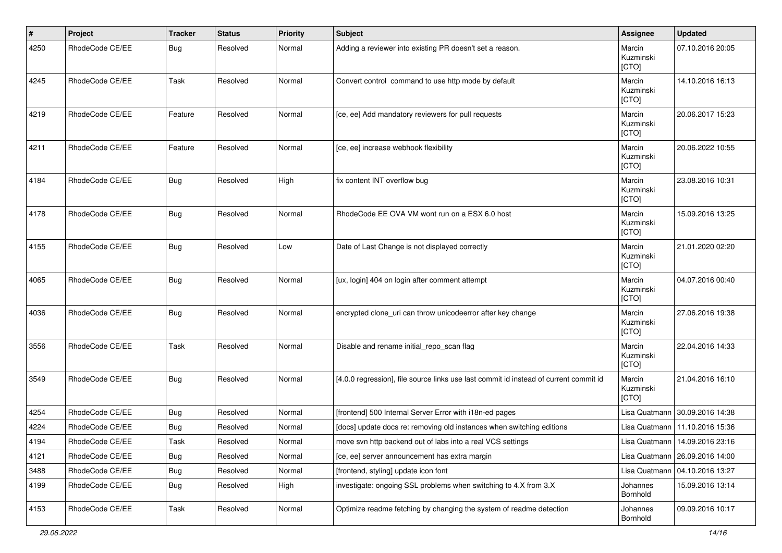| #    | Project         | <b>Tracker</b> | <b>Status</b> | <b>Priority</b> | <b>Subject</b>                                                                        | Assignee                     | <b>Updated</b>                   |
|------|-----------------|----------------|---------------|-----------------|---------------------------------------------------------------------------------------|------------------------------|----------------------------------|
| 4250 | RhodeCode CE/EE | Bug            | Resolved      | Normal          | Adding a reviewer into existing PR doesn't set a reason.                              | Marcin<br>Kuzminski<br>[CTO] | 07.10.2016 20:05                 |
| 4245 | RhodeCode CE/EE | Task           | Resolved      | Normal          | Convert control command to use http mode by default                                   | Marcin<br>Kuzminski<br>[CTO] | 14.10.2016 16:13                 |
| 4219 | RhodeCode CE/EE | Feature        | Resolved      | Normal          | [ce, ee] Add mandatory reviewers for pull requests                                    | Marcin<br>Kuzminski<br>[CTO] | 20.06.2017 15:23                 |
| 4211 | RhodeCode CE/EE | Feature        | Resolved      | Normal          | [ce, ee] increase webhook flexibility                                                 | Marcin<br>Kuzminski<br>[CTO] | 20.06.2022 10:55                 |
| 4184 | RhodeCode CE/EE | Bug            | Resolved      | High            | fix content INT overflow bug                                                          | Marcin<br>Kuzminski<br>[CTO] | 23.08.2016 10:31                 |
| 4178 | RhodeCode CE/EE | Bug            | Resolved      | Normal          | RhodeCode EE OVA VM wont run on a ESX 6.0 host                                        | Marcin<br>Kuzminski<br>[CTO] | 15.09.2016 13:25                 |
| 4155 | RhodeCode CE/EE | Bug            | Resolved      | Low             | Date of Last Change is not displayed correctly                                        | Marcin<br>Kuzminski<br>[CTO] | 21.01.2020 02:20                 |
| 4065 | RhodeCode CE/EE | Bug            | Resolved      | Normal          | [ux, login] 404 on login after comment attempt                                        | Marcin<br>Kuzminski<br>[CTO] | 04.07.2016 00:40                 |
| 4036 | RhodeCode CE/EE | Bug            | Resolved      | Normal          | encrypted clone_uri can throw unicodeerror after key change                           | Marcin<br>Kuzminski<br>[CTO] | 27.06.2016 19:38                 |
| 3556 | RhodeCode CE/EE | Task           | Resolved      | Normal          | Disable and rename initial_repo_scan flag                                             | Marcin<br>Kuzminski<br>[CTO] | 22.04.2016 14:33                 |
| 3549 | RhodeCode CE/EE | Bug            | Resolved      | Normal          | [4.0.0 regression], file source links use last commit id instead of current commit id | Marcin<br>Kuzminski<br>[CTO] | 21.04.2016 16:10                 |
| 4254 | RhodeCode CE/EE | Bug            | Resolved      | Normal          | [frontend] 500 Internal Server Error with i18n-ed pages                               |                              | Lisa Quatmann 30.09.2016 14:38   |
| 4224 | RhodeCode CE/EE | Bug            | Resolved      | Normal          | [docs] update docs re: removing old instances when switching editions                 |                              | Lisa Quatmann   11.10.2016 15:36 |
| 4194 | RhodeCode CE/EE | Task           | Resolved      | Normal          | move svn http backend out of labs into a real VCS settings                            |                              | Lisa Quatmann   14.09.2016 23:16 |
| 4121 | RhodeCode CE/EE | Bug            | Resolved      | Normal          | [ce, ee] server announcement has extra margin                                         |                              | Lisa Quatmann   26.09.2016 14:00 |
| 3488 | RhodeCode CE/EE | Bug            | Resolved      | Normal          | [frontend, styling] update icon font                                                  |                              | Lisa Quatmann   04.10.2016 13:27 |
| 4199 | RhodeCode CE/EE | Bug            | Resolved      | High            | investigate: ongoing SSL problems when switching to 4.X from 3.X                      | Johannes<br>Bornhold         | 15.09.2016 13:14                 |
| 4153 | RhodeCode CE/EE | Task           | Resolved      | Normal          | Optimize readme fetching by changing the system of readme detection                   | Johannes<br>Bornhold         | 09.09.2016 10:17                 |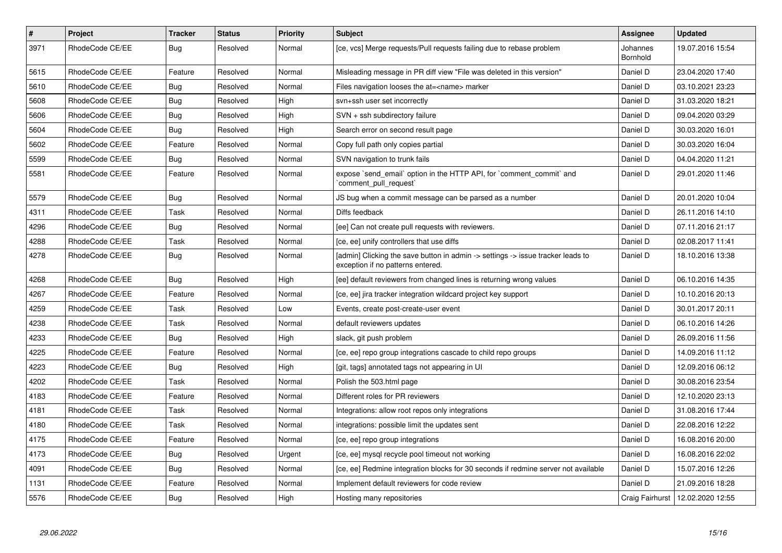| $\sharp$ | <b>Project</b>  | Tracker    | <b>Status</b> | <b>Priority</b> | <b>Subject</b>                                                                                                       | <b>Assignee</b>      | <b>Updated</b>   |
|----------|-----------------|------------|---------------|-----------------|----------------------------------------------------------------------------------------------------------------------|----------------------|------------------|
| 3971     | RhodeCode CE/EE | Bug        | Resolved      | Normal          | [ce, vcs] Merge requests/Pull requests failing due to rebase problem                                                 | Johannes<br>Bornhold | 19.07.2016 15:54 |
| 5615     | RhodeCode CE/EE | Feature    | Resolved      | Normal          | Misleading message in PR diff view "File was deleted in this version"                                                | Daniel D             | 23.04.2020 17:40 |
| 5610     | RhodeCode CE/EE | <b>Bug</b> | Resolved      | Normal          | Files navigation looses the at= <name> marker</name>                                                                 | Daniel D             | 03.10.2021 23:23 |
| 5608     | RhodeCode CE/EE | Bug        | Resolved      | High            | svn+ssh user set incorrectly                                                                                         | Daniel D             | 31.03.2020 18:21 |
| 5606     | RhodeCode CE/EE | <b>Bug</b> | Resolved      | High            | $SVN + ssh$ subdirectory failure                                                                                     | Daniel D             | 09.04.2020 03:29 |
| 5604     | RhodeCode CE/EE | Bug        | Resolved      | High            | Search error on second result page                                                                                   | Daniel D             | 30.03.2020 16:01 |
| 5602     | RhodeCode CE/EE | Feature    | Resolved      | Normal          | Copy full path only copies partial                                                                                   | Daniel D             | 30.03.2020 16:04 |
| 5599     | RhodeCode CE/EE | <b>Bug</b> | Resolved      | Normal          | SVN navigation to trunk fails                                                                                        | Daniel D             | 04.04.2020 11:21 |
| 5581     | RhodeCode CE/EE | Feature    | Resolved      | Normal          | expose `send_email` option in the HTTP API, for `comment_commit` and<br>comment pull request                         | Daniel D             | 29.01.2020 11:46 |
| 5579     | RhodeCode CE/EE | <b>Bug</b> | Resolved      | Normal          | JS bug when a commit message can be parsed as a number                                                               | Daniel D             | 20.01.2020 10:04 |
| 4311     | RhodeCode CE/EE | Task       | Resolved      | Normal          | Diffs feedback                                                                                                       | Daniel D             | 26.11.2016 14:10 |
| 4296     | RhodeCode CE/EE | Bug        | Resolved      | Normal          | [ee] Can not create pull requests with reviewers.                                                                    | Daniel D             | 07.11.2016 21:17 |
| 4288     | RhodeCode CE/EE | Task       | Resolved      | Normal          | [ce, ee] unify controllers that use diffs                                                                            | Daniel D             | 02.08.2017 11:41 |
| 4278     | RhodeCode CE/EE | Bug        | Resolved      | Normal          | [admin] Clicking the save button in admin -> settings -> issue tracker leads to<br>exception if no patterns entered. | Daniel D             | 18.10.2016 13:38 |
| 4268     | RhodeCode CE/EE | Bug        | Resolved      | High            | [ee] default reviewers from changed lines is returning wrong values                                                  | Daniel D             | 06.10.2016 14:35 |
| 4267     | RhodeCode CE/EE | Feature    | Resolved      | Normal          | [ce, ee] jira tracker integration wildcard project key support                                                       | Daniel D             | 10.10.2016 20:13 |
| 4259     | RhodeCode CE/EE | Task       | Resolved      | Low             | Events, create post-create-user event                                                                                | Daniel D             | 30.01.2017 20:11 |
| 4238     | RhodeCode CE/EE | Task       | Resolved      | Normal          | default reviewers updates                                                                                            | Daniel D             | 06.10.2016 14:26 |
| 4233     | RhodeCode CE/EE | Bug        | Resolved      | High            | slack, git push problem                                                                                              | Daniel D             | 26.09.2016 11:56 |
| 4225     | RhodeCode CE/EE | Feature    | Resolved      | Normal          | [ce, ee] repo group integrations cascade to child repo groups                                                        | Daniel D             | 14.09.2016 11:12 |
| 4223     | RhodeCode CE/EE | Bug        | Resolved      | High            | [git, tags] annotated tags not appearing in UI                                                                       | Daniel D             | 12.09.2016 06:12 |
| 4202     | RhodeCode CE/EE | Task       | Resolved      | Normal          | Polish the 503.html page                                                                                             | Daniel D             | 30.08.2016 23:54 |
| 4183     | RhodeCode CE/EE | Feature    | Resolved      | Normal          | Different roles for PR reviewers                                                                                     | Daniel D             | 12.10.2020 23:13 |
| 4181     | RhodeCode CE/EE | Task       | Resolved      | Normal          | Integrations: allow root repos only integrations                                                                     | Daniel D             | 31.08.2016 17:44 |
| 4180     | RhodeCode CE/EE | Task       | Resolved      | Normal          | integrations: possible limit the updates sent                                                                        | Daniel D             | 22.08.2016 12:22 |
| 4175     | RhodeCode CE/EE | Feature    | Resolved      | Normal          | [ce, ee] repo group integrations                                                                                     | Daniel D             | 16.08.2016 20:00 |
| 4173     | RhodeCode CE/EE | <b>Bug</b> | Resolved      | Urgent          | [ce, ee] mysql recycle pool timeout not working                                                                      | Daniel D             | 16.08.2016 22:02 |
| 4091     | RhodeCode CE/EE | <b>Bug</b> | Resolved      | Normal          | [ce, ee] Redmine integration blocks for 30 seconds if redmine server not available                                   | Daniel D             | 15.07.2016 12:26 |
| 1131     | RhodeCode CE/EE | Feature    | Resolved      | Normal          | Implement default reviewers for code review                                                                          | Daniel D             | 21.09.2016 18:28 |
| 5576     | RhodeCode CE/EE | <b>Bug</b> | Resolved      | High            | Hosting many repositories                                                                                            | Craig Fairhurst      | 12.02.2020 12:55 |